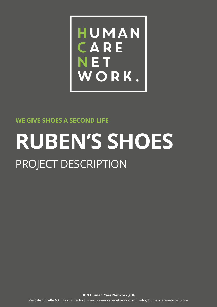HUMAN CARE NET WORK.

# **WE GIVE SHOES A SECOND LIFE**

# **RUBEN'S SHOES** PROJECT DESCRIPTION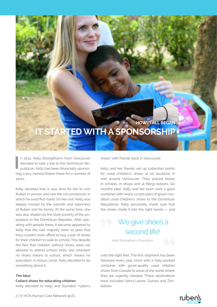

n 2012, Kelly Strongitharm from Vancouver decided to take a trip to the Dominican Republican. Kelly had been financially sponsoring a boy named Ruben there for a number of years. **I**

Kelly decided that is was time for her to visit Ruben in person and see the circumstances in which he lived first-hand. On her visit, Kelly was deeply moved by the warmth and openness of Ruben and his family. At the same time, she was also shaken by the stark poverty of the population in the Dominican Republic. After speaking with people there, it became apparent to Kelly that the vast majority were so poor that they couldn't even afford to buy a pair of shoes for their children to walk to school. This despite the fact that children without shoes were not allowed to attend school. Kelly was shocked: no shoes means to school, which means no education. A vicious circle. Kelly decided to do something about it.

#### **The Idea:**

#### **Collect shoes for educating children**

Kelly decided to help and founded "ruben's

shoes" with friends back in Vancouver.

Kelly and her friends set up collection points for used children's shoes at 20 locations in and around Vancouver. They placed boxes in schools, in shops and at filling stations. Six months later, Kelly and her team sent a giant container with nearly 12,000 pairs of good-condition used children's shoes to the Dominican Republican. Kelly personally made sure that the shoes made it into the right hands — and

# We give shoes a second life!

Kelly Strongitharm, Foundress

onto the right feet. The first shipment has been followed every year since with a fully-packed container with good-quality used children shoes from Canada to areas of the world where they are urgently needed. These destinations have included Sierra Leone, Guinea and Zimbabwe.



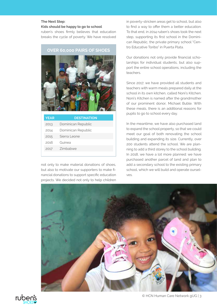## **The Next Step:**

#### **Kids should be happy to go to school**

ruben's shoes firmly believes that education breaks the cycle of poverty. We have resolved



| YEAR | <b>DESTINATION</b> |
|------|--------------------|
| 2013 | Dominican Republic |
| 2014 | Dominican Republic |
| 2015 | Sierra Leone       |
| 2016 | Guinea             |
| 2017 | <b>Zimbabwe</b>    |
|      |                    |

not only to make material donations of shoes, but also to motivate our supporters to make financial donations to support specific education projects. We decided not only to help children

in poverty-stricken areas get to school, but also to find a way to offer them a better education. To that end, in 2014 ruben's shoes took the next step, supporting its first school in the Dominican Republic, the private primary school "Centro Educative Toribo" in Puerta Plata.

Our donations not only provide financial scholarships for individual students, but also support the entire school operations, including the teachers.

Since 2017, we have provided all students and teachers with warm meals prepared daily at the school in its own kitchen, called Noni's Kitchen. Noni's Kitchen is named after the grandmother of our prominent donor, Michael Buble. With these meals, there is an additional reasons for pupils to go to school every day.

In the meantime, we have also purchased land to expand the school property, so that we could meet our goal of both renovating the school building and expanding its size. Currently, over 200 students attend the school. We are planning to add a third storey to the school building. In 2018, we have a lot more planned: we have purchased another parcel of land and plan to add a secondary school to the existing primary school, which we will build and operate ourselves.



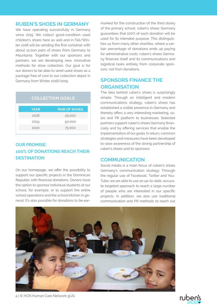# **RUBEN'S SHOES IN GERMANY**

We have operating successfully in Germany since 2015. We collect good-condition used children's shoes here as well and in Fall/Winter 2018 will be sending the first container with about 12,000 pairs of shoes from Germany to Mauritania. Together with our sponsors and partners, we are developing new, innovative methods for shoe collection. Our goal is for our donors to be able to send used shoes as a package free of cost to our collection depot in Germany from Winter 2018/2019.

# **COLLECTION GOALS**

| <b>YEAR</b> | <b>PAIR OF SHOES</b> |
|-------------|----------------------|
| 2018        | 25.000               |
| 2019        | 50.000               |
| 2020        | 75.000               |

# **OUR PROMISE: 100% OF DONATIONS REACH THEIR DESTINATION**

On our homepage, we offer the possibility to support our specific projects in the Dominican Republic with financial donations. Donors have the option to sponsor individual students at our school, for example, or to support the entire school operations and the school kitchen in general. It's also possible for donations to be earmarked for the construction of the third storey of the primary school. ruben's shoes Germany guarantees that 100% of each donation will be used for its intended purpose. This distinguishes us from many other charities, where a certain percentage of donations ends up paying for administrative costs. ruben's shoes Germany finances itself and its communications and logistical tasks entirely from corporate sponsors, not from donations.

# **SPONSORS FINANCE THE ORGANISATION**

The idea behind ruben's shoes is surprisingly simple. Through an intelligent and modern communications strategy, ruben's shoes has established a visible presence in Germany and thereby offers a very interesting marketing, sales and PR platform to businesses. Selected partners support ruben's shoes Germany financially and by offering services that enable the implementation of our goals. In return, common strategies and measures have been developed to raise awareness of the strong partnership of ruben's shoes and its sponsors.

### **COMMUNICATION**

Social media is a main focus of ruben's shoes Germany's communication strategy. Through the regular use of Facebook, Twitter and You-Tube, we are able to use an up-to-date, accurate targeted approach to reach a large number of people who are interested in our specific projects. In addition, we also use traditional communication and PR methods to reach out



4 | © HCN Human Care Network gUG

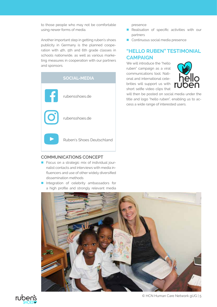to those people who may not be comfortable using newer forms of media.

Another important step in getting ruben's shoes publicity in Germany is the planned cooperation with 4th, 5th and 6th grade classes in schools nationwide, as well as various marketing measures in cooperation with our partners and sponsors.



### **COMMUNICATIONS CONCEPT**

- Focus on a strategic mix of individual journalist contacts and interviews with media influencers and use of other widely diversified dissemination methods
- Integration of celebrity ambassadors for a high profile and strongly relevant media

presence

- Realisation of specific activities with our partners
- **Continuous social media presence**

# **"HELLO RUBEN" TESTIMONIAL CAMPAIGN**

We will introduce the "hello ruben" campaign as a viral communications tool. National and international celebrities will support us with short selfie video clips that



will then be posted on social media under the title and logo "hello ruben", enabling us to access a wide range of interested users.





© HCN Human Care Network gUG | 5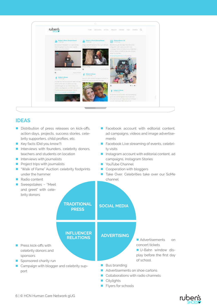

# **IDEAS**

- Distribution of press releases on kick-offs, action days, projects, success stories, celebrity supporters, child profiles, etc.
- Key facts (Did you know?)
- Interviews with founders, celebrity donors, teachers and students on location
- Interviews with journalists
- $\blacksquare$  Project trips with journalists
- **Nallaced Trame** Auction: celebrity footprints under the hammer
- Radio content
- **Sweepstakes "Meet** and greet" with cele-

 $\blacksquare$  Press kick-offs with celebrity donors and

Sponsored charity run

sponsors

port

- **Facebook account with editorial content,** ad campaigns, videos and image advertisements
- Facebook Live streaming of events, celebrity visits
- $\blacksquare$  Instagram account with editorial content, ad campaigns, Instagram Stories
- **NouTube Channel**
- Cooperation with bloggers
- **Take Over: Celebrities take over our SoMe** channel





- **Citylights**
- Flyers for schools

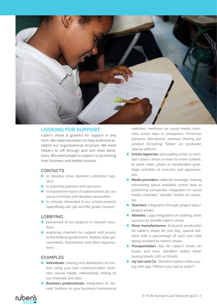

# **LOOKING FOR SUPPORT**

ruben's shoes is grateful for support in any form. We need volunteers to help build and establish our organisational structure. We need helpers to sift through and sort shoe donations. We need people to support us by sharing their business and media contacts.

# **CONTACTS**

- to develop shoe donation collection logistics
- $\blacksquare$  to potential partners and sponsors
- to expand the reach of rubesnsshoes.de, our social channels and donation acquisition
- $\blacksquare$  to schools interested in our school projects (specifically 4th, 5th and 6th grade classes)

# **LOBBYING**

- **placement of our projects in relevant loca**tions
- exploring channels for support and access to the federal government, federal state governments, foundations and other organisations

# **EXAMPLES**

- **Individuals**: sharing and distribution of content using your own communication channels (social media, networking); linking to our channels and sites
- **Business professionals**: integration of "donate" buttons on your business/commercial

websites; mentions on social media channels; action days in companies; Christmas presents (donations); revenue sharing per product (including "Störer" on products); special editions

- **Artists Agencies**: persuading artists to mention ruben's shoes or even to share content, to send video, photo or handwritten greetings; activities at concerts and appearances.
- **Media providers**: editorial coverage; making advertising space available; action days in publishing companies; integration on social media channels; "donate" button on websi $t \infty$
- **Teachers**: integration through project days/ project weeks
- **Athletes**: Logo integration on clothing; shoe auctions to benefit ruben's shoes
- **Shoe manufacturers:** Exclusive production for ruben's shoes for one day; special editions with a percentage of each pair sold being donated to ruben's shoes
- **Transportation**: Ads for ruben's shoes on buses and taxis; donation option when buying tickets; info on tickets
- **my taxi und Co.:** Donation option when paying with app ("What if you had to walk?")